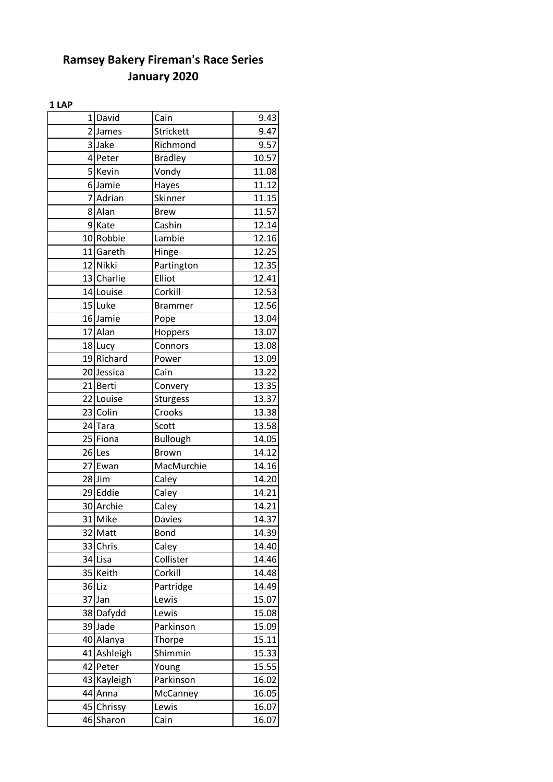#### **1 LAP**

|    | 1 David              | Cain            | 9.43  |
|----|----------------------|-----------------|-------|
|    | 2 James              | Strickett       | 9.47  |
|    | 3Jake                | Richmond        | 9.57  |
|    | 4 Peter              | <b>Bradley</b>  | 10.57 |
|    | 5 Kevin              | Vondy           | 11.08 |
|    | 6Jamie               | Hayes           | 11.12 |
|    | 7 Adrian             | Skinner         | 11.15 |
|    | 8 Alan               | <b>Brew</b>     | 11.57 |
|    | 9 Kate               | Cashin          | 12.14 |
|    | 10 Robbie            | Lambie          | 12.16 |
|    | 11 Gareth            | Hinge           | 12.25 |
|    | 12 Nikki             | Partington      | 12.35 |
|    | 13 Charlie           | Elliot          | 12.41 |
|    | 14 Louise            | Corkill         | 12.53 |
|    | 15 Luke              | <b>Brammer</b>  | 12.56 |
|    | 16 Jamie             | Pope            | 13.04 |
|    | 17 Alan              | Hoppers         | 13.07 |
|    | 18 Lucy              | Connors         | 13.08 |
|    | 19 Richard           | Power           | 13.09 |
|    | 20 Jessica           | Cain            | 13.22 |
|    | 21 Berti             | Convery         | 13.35 |
|    | 22 Louise            | Sturgess        | 13.37 |
|    | 23 Colin             | Crooks          | 13.38 |
|    | 24 Tara              | Scott           | 13.58 |
|    | 25 Fiona             | <b>Bullough</b> | 14.05 |
|    | 26 Les               | <b>Brown</b>    | 14.12 |
|    | 27 Ewan              | MacMurchie      | 14.16 |
|    | $28$ Jim             | Caley           | 14.20 |
|    | 29 Eddie             | Caley           | 14.21 |
|    | 30 Archie            | Caley           | 14.21 |
|    | $\overline{31}$ Mike | <b>Davies</b>   | 14.37 |
|    | 32 Matt              | Bond            | 14.39 |
|    | 33 Chris             | Caley           | 14.40 |
|    | 34 Lisa              | Collister       | 14.46 |
|    | 35 Keith             | Corkill         | 14.48 |
|    | 36Liz                | Partridge       | 14.49 |
|    | 37 Jan               | Lewis           | 15.07 |
|    | 38 Dafydd            | Lewis           | 15.08 |
|    | 39 Jade              | Parkinson       | 15.09 |
|    | 40 Alanya            | Thorpe          | 15.11 |
|    | 41 Ashleigh          | Shimmin         | 15.33 |
|    | 42 Peter             | Young           | 15.55 |
|    | 43 Kayleigh          | Parkinson       | 16.02 |
|    | 44 Anna              | McCanney        | 16.05 |
|    | 45 Chrissy           | Lewis           | 16.07 |
| 46 | Sharon               | Cain            | 16.07 |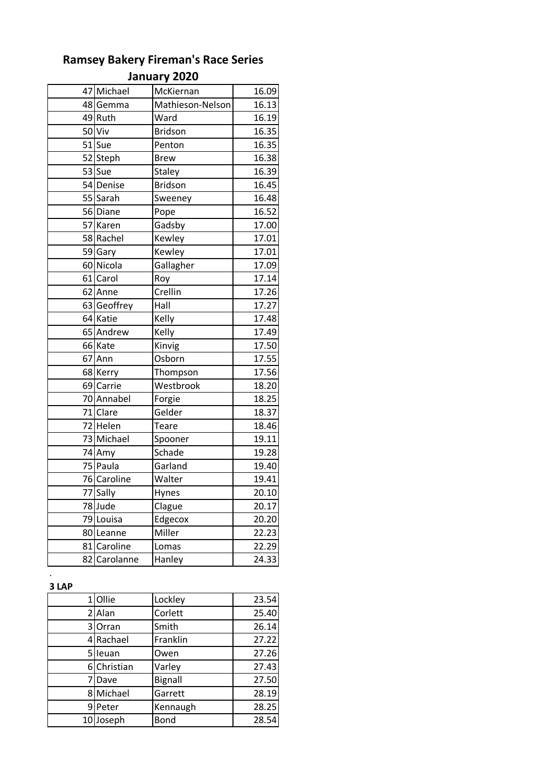| 47 Michael            | McKiernan        | 16.09 |
|-----------------------|------------------|-------|
| 48 Gemma              | Mathieson-Nelson | 16.13 |
| 49 Ruth               | Ward             | 16.19 |
| 50 Viv                | <b>Bridson</b>   | 16.35 |
| 51 Sue                | Penton           | 16.35 |
| 52 Steph              | <b>Brew</b>      | 16.38 |
| 53 Sue                | <b>Staley</b>    | 16.39 |
| 54 Denise             | <b>Bridson</b>   | 16.45 |
| 55 Sarah              | Sweeney          | 16.48 |
| 56 Diane              | Pope             | 16.52 |
| 57 Karen              | Gadsby           | 17.00 |
| 58 Rachel             | Kewley           | 17.01 |
| 59 Gary               | Kewley           | 17.01 |
| 60 Nicola             | Gallagher        | 17.09 |
| 61 Carol              | Roy              | 17.14 |
| 62 Anne               | Crellin          | 17.26 |
| 63 Geoffrey           | Hall             | 17.27 |
| 64 Katie              | Kelly            | 17.48 |
| 65 Andrew             | .<br>Kelly       | 17.49 |
| 66 Kate               | -<br>Kinvig      | 17.50 |
| 67 Ann                | Osborn           | 17.55 |
| 68 Kerry              | Thompson         | 17.56 |
| 69 Carrie             | Westbrook        | 18.20 |
| 70 Annabel            | Forgie           | 18.25 |
| 71 Clare              | Gelder           | 18.37 |
| 72 Helen              | Teare            | 18.46 |
| 73 Michael            | Spooner          | 19.11 |
| 74 Amy                | Schade           | 19.28 |
| $\overline{75}$ Paula | Garland          | 19.40 |
| 76 Caroline           | Walter           | 19.41 |
| 77 Sally              | Hynes            | 20.10 |
| 78 Jude               | Clague           | 20.17 |
| 79 Louisa             | Edgecox          | 20.20 |
| 80 Leanne             | Miller           | 22.23 |
| 81 Caroline           | Lomas            | 22.29 |
| 82 Carolanne          | Hanley           | 24.33 |

### **3 LAP**

.

|   | 1 Ollie     | Lockley  | 23.54 |
|---|-------------|----------|-------|
|   | 2 Alan      | Corlett  | 25.40 |
|   | 3 Orran     | Smith    | 26.14 |
|   | 4 Rachael   | Franklin | 27.22 |
|   | 5 leuan     | Owen     | 27.26 |
|   | 6 Christian | Varley   | 27.43 |
|   | 7IDave      | Bignall  | 27.50 |
|   | 8 Michael   | Garrett  | 28.19 |
| 9 | Peter       | Kennaugh | 28.25 |
|   | 10 Joseph   | Bond     | 28.54 |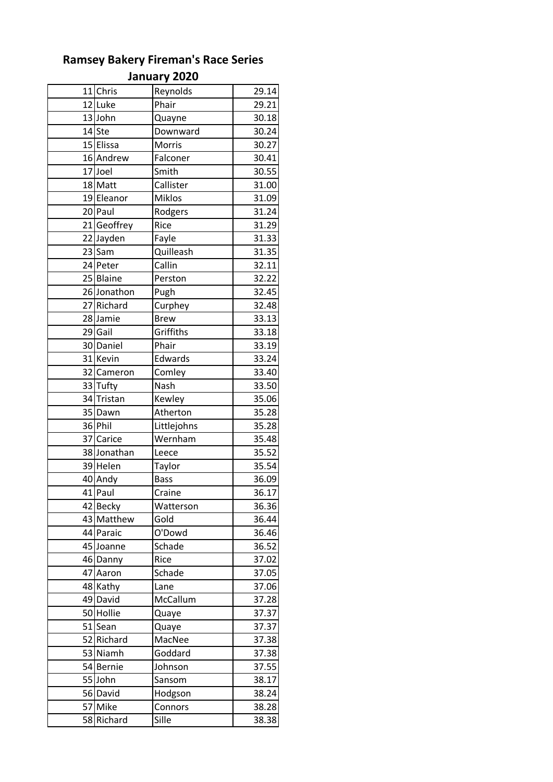|    |             | Jaliuai y ŁUŁU |       |
|----|-------------|----------------|-------|
|    | 11 Chris    | Reynolds       | 29.14 |
|    | 12 Luke     | Phair          | 29.21 |
|    | 13 John     | Quayne         | 30.18 |
|    | 14 Ste      | Downward       | 30.24 |
|    | 15 Elissa   | Morris         | 30.27 |
|    | 16 Andrew   | Falconer       | 30.41 |
|    | 17 Joel     | Smith          | 30.55 |
|    | 18 Matt     | Callister      | 31.00 |
|    | 19 Eleanor  | <b>Miklos</b>  | 31.09 |
|    | 20 Paul     | Rodgers        | 31.24 |
|    | 21 Geoffrey | Rice           | 31.29 |
|    | 22 Jayden   | Fayle          | 31.33 |
|    | 23 Sam      | Quilleash      | 31.35 |
|    | 24 Peter    | Callin         | 32.11 |
|    | 25 Blaine   | Perston        | 32.22 |
|    | 26 Jonathon | Pugh           | 32.45 |
|    | 27 Richard  | Curphey        | 32.48 |
|    | 28 Jamie    | <b>Brew</b>    | 33.13 |
|    | 29 Gail     | Griffiths      | 33.18 |
|    | 30 Daniel   | Phair          | 33.19 |
|    | 31 Kevin    | Edwards        | 33.24 |
|    | 32 Cameron  | Comley         | 33.40 |
|    | 33 Tufty    | Nash           | 33.50 |
|    | 34 Tristan  | .<br>Kewley    | 35.06 |
|    | 35 Dawn     | Atherton       | 35.28 |
|    | 36 Phil     | Littlejohns    | 35.28 |
|    | 37 Carice   | Wernham        | 35.48 |
|    | 38 Jonathan | Leece          | 35.52 |
|    | 39 Helen    | Taylor         | 35.54 |
|    | 40 Andy     | <b>Bass</b>    | 36.09 |
|    | 41 Paul     | Craine         | 36.17 |
|    | 42 Becky    | Watterson      | 36.36 |
| 43 | Matthew     | Gold           | 36.44 |
|    | 44 Paraic   | O'Dowd         | 36.46 |
|    | 45 Joanne   | Schade         | 36.52 |
|    | 46 Danny    | Rice           | 37.02 |
| 47 | Aaron       | Schade         | 37.05 |
|    | 48 Kathy    | Lane           | 37.06 |
|    | 49 David    | McCallum       | 37.28 |
|    | 50 Hollie   | Quaye          | 37.37 |
|    | 51 Sean     | Quaye          | 37.37 |
| 52 | Richard     | MacNee         | 37.38 |
|    | 53 Niamh    | Goddard        | 37.38 |
|    | 54 Bernie   | Johnson        | 37.55 |
|    | 55 John     | Sansom         | 38.17 |
|    | 56 David    | Hodgson        | 38.24 |
|    | 57 Mike     | Connors        | 38.28 |
| 58 | Richard     | Sille          | 38.38 |